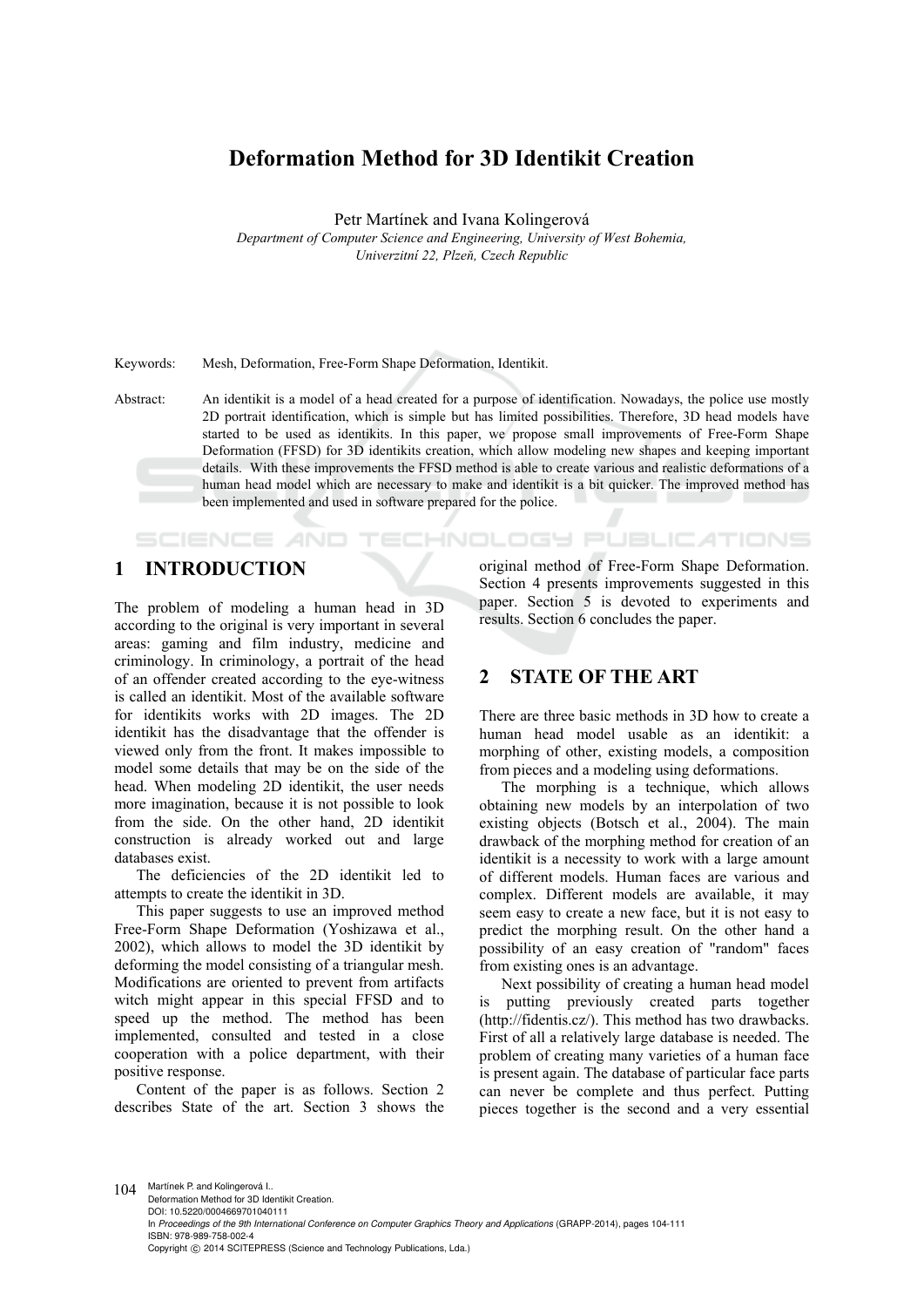# **Deformation Method for 3D Identikit Creation**

Petr Martínek and Ivana Kolingerová

*Department of Computer Science and Engineering, University of West Bohemia, Univerzitní 22, Plzeň, Czech Republic* 

Keywords: Mesh, Deformation, Free-Form Shape Deformation, Identikit.

Abstract: An identikit is a model of a head created for a purpose of identification. Nowadays, the police use mostly 2D portrait identification, which is simple but has limited possibilities. Therefore, 3D head models have started to be used as identikits. In this paper, we propose small improvements of Free-Form Shape Deformation (FFSD) for 3D identikits creation, which allow modeling new shapes and keeping important details. With these improvements the FFSD method is able to create various and realistic deformations of a human head model which are necessary to make and identikit is a bit quicker. The improved method has been implemented and used in software prepared for the police.

'ECHNOLOGY Pl

# **1 INTRODUCTION**

SCIENCE AND

The problem of modeling a human head in 3D according to the original is very important in several areas: gaming and film industry, medicine and criminology. In criminology, a portrait of the head of an offender created according to the eye-witness is called an identikit. Most of the available software for identikits works with 2D images. The 2D identikit has the disadvantage that the offender is viewed only from the front. It makes impossible to model some details that may be on the side of the head. When modeling 2D identikit, the user needs more imagination, because it is not possible to look from the side. On the other hand, 2D identikit construction is already worked out and large databases exist.

The deficiencies of the 2D identikit led to attempts to create the identikit in 3D.

This paper suggests to use an improved method Free-Form Shape Deformation (Yoshizawa et al., 2002), which allows to model the 3D identikit by deforming the model consisting of a triangular mesh. Modifications are oriented to prevent from artifacts witch might appear in this special FFSD and to speed up the method. The method has been implemented, consulted and tested in a close cooperation with a police department, with their positive response.

Content of the paper is as follows. Section 2 describes State of the art. Section 3 shows the original method of Free-Form Shape Deformation. Section 4 presents improvements suggested in this paper. Section 5 is devoted to experiments and results. Section 6 concludes the paper.

JBLIC ATIONS

## **2 STATE OF THE ART**

There are three basic methods in 3D how to create a human head model usable as an identikit: a morphing of other, existing models, a composition from pieces and a modeling using deformations.

The morphing is a technique, which allows obtaining new models by an interpolation of two existing objects (Botsch et al., 2004). The main drawback of the morphing method for creation of an identikit is a necessity to work with a large amount of different models. Human faces are various and complex. Different models are available, it may seem easy to create a new face, but it is not easy to predict the morphing result. On the other hand a possibility of an easy creation of "random" faces from existing ones is an advantage.

Next possibility of creating a human head model is putting previously created parts together (http://fidentis.cz/). This method has two drawbacks. First of all a relatively large database is needed. The problem of creating many varieties of a human face is present again. The database of particular face parts can never be complete and thus perfect. Putting pieces together is the second and a very essential

104 Martínek P. and Kolingerová I.. Deformation Method for 3D Identikit Creation. DOI: 10.5220/0004669701040111 In *Proceedings of the 9th International Conference on Computer Graphics Theory and Applications* (GRAPP-2014), pages 104-111 ISBN: 978-989-758-002-4 Copyright © 2014 SCITEPRESS (Science and Technology Publications, Lda.)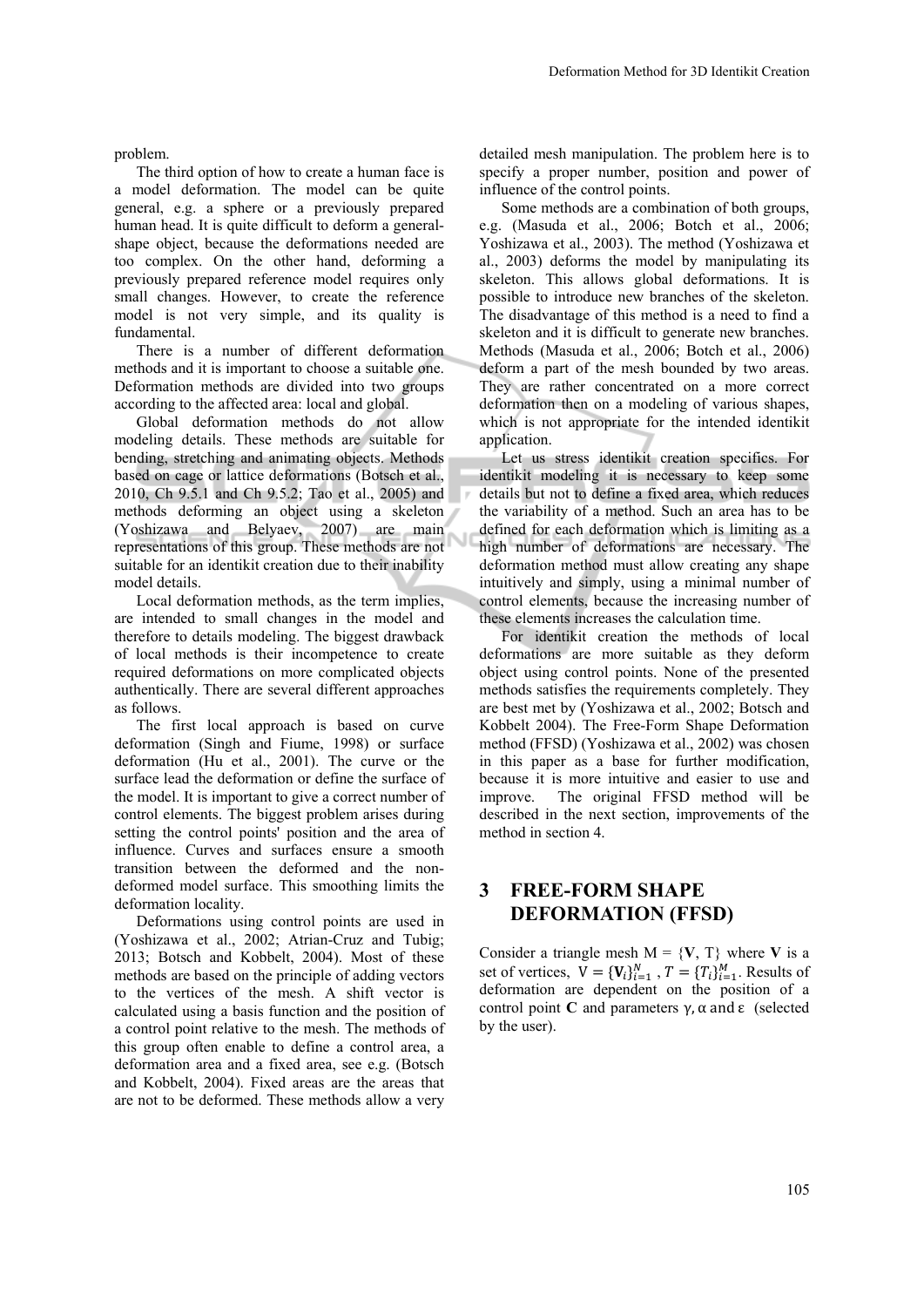problem.

The third option of how to create a human face is a model deformation. The model can be quite general, e.g. a sphere or a previously prepared human head. It is quite difficult to deform a generalshape object, because the deformations needed are too complex. On the other hand, deforming a previously prepared reference model requires only small changes. However, to create the reference model is not very simple, and its quality is fundamental.

There is a number of different deformation methods and it is important to choose a suitable one. Deformation methods are divided into two groups according to the affected area: local and global.

Global deformation methods do not allow modeling details. These methods are suitable for bending, stretching and animating objects. Methods based on cage or lattice deformations (Botsch et al., 2010, Ch 9.5.1 and Ch 9.5.2; Tao et al., 2005) and methods deforming an object using a skeleton (Yoshizawa and Belyaev, 2007) are main representations of this group. These methods are not suitable for an identikit creation due to their inability model details.

Local deformation methods, as the term implies, are intended to small changes in the model and therefore to details modeling. The biggest drawback of local methods is their incompetence to create required deformations on more complicated objects authentically. There are several different approaches as follows.

The first local approach is based on curve deformation (Singh and Fiume, 1998) or surface deformation (Hu et al., 2001). The curve or the surface lead the deformation or define the surface of the model. It is important to give a correct number of control elements. The biggest problem arises during setting the control points' position and the area of influence. Curves and surfaces ensure a smooth transition between the deformed and the nondeformed model surface. This smoothing limits the deformation locality.

Deformations using control points are used in (Yoshizawa et al., 2002; Atrian-Cruz and Tubig; 2013; Botsch and Kobbelt, 2004). Most of these methods are based on the principle of adding vectors to the vertices of the mesh. A shift vector is calculated using a basis function and the position of a control point relative to the mesh. The methods of this group often enable to define a control area, a deformation area and a fixed area, see e.g. (Botsch and Kobbelt, 2004). Fixed areas are the areas that are not to be deformed. These methods allow a very

detailed mesh manipulation. The problem here is to specify a proper number, position and power of influence of the control points.

Some methods are a combination of both groups, e.g. (Masuda et al., 2006; Botch et al., 2006; Yoshizawa et al., 2003). The method (Yoshizawa et al., 2003) deforms the model by manipulating its skeleton. This allows global deformations. It is possible to introduce new branches of the skeleton. The disadvantage of this method is a need to find a skeleton and it is difficult to generate new branches. Methods (Masuda et al., 2006; Botch et al., 2006) deform a part of the mesh bounded by two areas. They are rather concentrated on a more correct deformation then on a modeling of various shapes, which is not appropriate for the intended identikit application.

Let us stress identikit creation specifics. For identikit modeling it is necessary to keep some details but not to define a fixed area, which reduces the variability of a method. Such an area has to be defined for each deformation which is limiting as a high number of deformations are necessary. The deformation method must allow creating any shape intuitively and simply, using a minimal number of control elements, because the increasing number of these elements increases the calculation time.

For identikit creation the methods of local deformations are more suitable as they deform object using control points. None of the presented methods satisfies the requirements completely. They are best met by (Yoshizawa et al., 2002; Botsch and Kobbelt 2004). The Free-Form Shape Deformation method (FFSD) (Yoshizawa et al., 2002) was chosen in this paper as a base for further modification, because it is more intuitive and easier to use and improve. The original FFSD method will be described in the next section, improvements of the method in section 4.

## **3 FREE-FORM SHAPE DEFORMATION (FFSD)**

Consider a triangle mesh  $M = \{V, T\}$  where V is a set of vertices,  $V = \{V_i\}_{i=1}^N$ ,  $T = \{T_i\}_{i=1}^M$ . Results of deformation are dependent on the position of a control point **C** and parameters  $\gamma$ ,  $\alpha$  and  $\epsilon$  (selected by the user).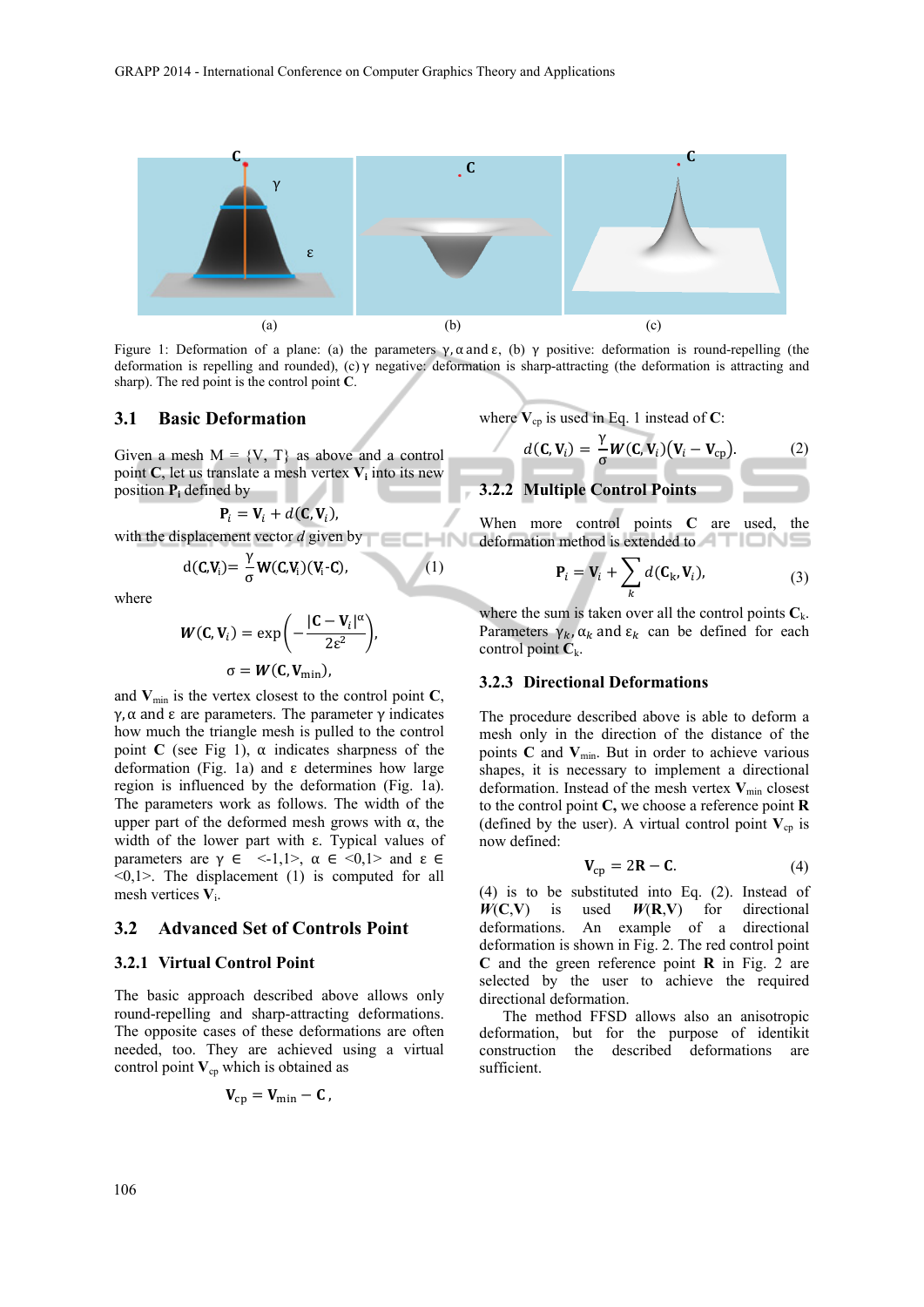

Figure 1: Deformation of a plane: (a) the parameters γ,  $\alpha$  and  $\epsilon$ , (b) γ positive: deformation is round-repelling (the deformation is repelling and rounded), (c)  $\gamma$  negative: deformation is sharp-attracting (the deformation is attracting and sharp). The red point is the control point **C**.

 $(1)$ 

### **3.1 Basic Deformation**

Given a mesh  $M = \{V, T\}$  as above and a control point  $C$ , let us translate a mesh vertex  $V_i$  into its new position **Pi** defined by

$$
\mathbf{P}_i = \mathbf{V}_i + d(\mathbf{C}, \mathbf{V}_i),
$$

with the displacement vector *d* given by

$$
d(C_{i}V_{i}) = \frac{\gamma}{\sigma}W(C_{i}V_{i})(V_{i}\text{-}C),
$$

where

$$
W(C, V_i) = \exp\left(-\frac{|C - V_i|^{\alpha}}{2\varepsilon^2}\right),\,
$$

$$
\sigma = W(C, V_{\min}),
$$

and  $V_{\text{min}}$  is the vertex closest to the control point  $C$ , γ,  $\alpha$  and  $\epsilon$  are parameters. The parameter γ indicates how much the triangle mesh is pulled to the control point **C** (see Fig 1),  $\alpha$  indicates sharpness of the deformation (Fig. 1a) and ε determines how large region is influenced by the deformation (Fig. 1a). The parameters work as follows. The width of the upper part of the deformed mesh grows with  $α$ , the width of the lower part with  $\varepsilon$ . Typical values of parameters are  $\gamma \in \langle -1, 1 \rangle$ ,  $\alpha \in \langle 0, 1 \rangle$  and  $\epsilon \in$  $\langle 0,1 \rangle$ . The displacement (1) is computed for all mesh vertices **V**i.

#### **3.2 Advanced Set of Controls Point**

#### **3.2.1 Virtual Control Point**

The basic approach described above allows only round-repelling and sharp-attracting deformations. The opposite cases of these deformations are often needed, too. They are achieved using a virtual control point  $V_{cp}$  which is obtained as

$$
\mathbf{V}_{\rm cp} = \mathbf{V}_{\rm min} - \mathbf{C}
$$

where  $V_{\text{cn}}$  is used in Eq. 1 instead of C:

$$
d(\mathbf{C}, \mathbf{V}_i) = \frac{\gamma}{\sigma} \mathbf{W}(\mathbf{C}, \mathbf{V}_i) (\mathbf{V}_i - \mathbf{V}_{cp}). \tag{2}
$$

**3.2.2 Multiple Control Points** 

When more control points **C** are used, the deformation method is extended to

$$
\mathbf{P}_i = \mathbf{V}_i + \sum_k d(\mathbf{C}_k, \mathbf{V}_i),
$$
 (3)

where the sum is taken over all the control points  $C_k$ . Parameters  $\gamma_k$ ,  $\alpha_k$  and  $\epsilon_k$  can be defined for each control point  $C_k$ .

#### **3.2.3 Directional Deformations**

The procedure described above is able to deform a mesh only in the direction of the distance of the points  $C$  and  $V_{min}$ . But in order to achieve various shapes, it is necessary to implement a directional deformation. Instead of the mesh vertex  $V_{min}$  closest to the control point **C,** we choose a reference point **R**  (defined by the user). A virtual control point  $V_{cp}$  is now defined:

$$
\mathbf{V}_{\rm cp} = 2\mathbf{R} - \mathbf{C}.\tag{4}
$$

(4) is to be substituted into Eq. (2). Instead of  $W(C,V)$  is used  $W(R,V)$  for directional deformations. An example of a directional deformation is shown in Fig. 2. The red control point **C** and the green reference point **R** in Fig. 2 are selected by the user to achieve the required directional deformation.

The method FFSD allows also an anisotropic deformation, but for the purpose of identikit construction the described deformations are sufficient.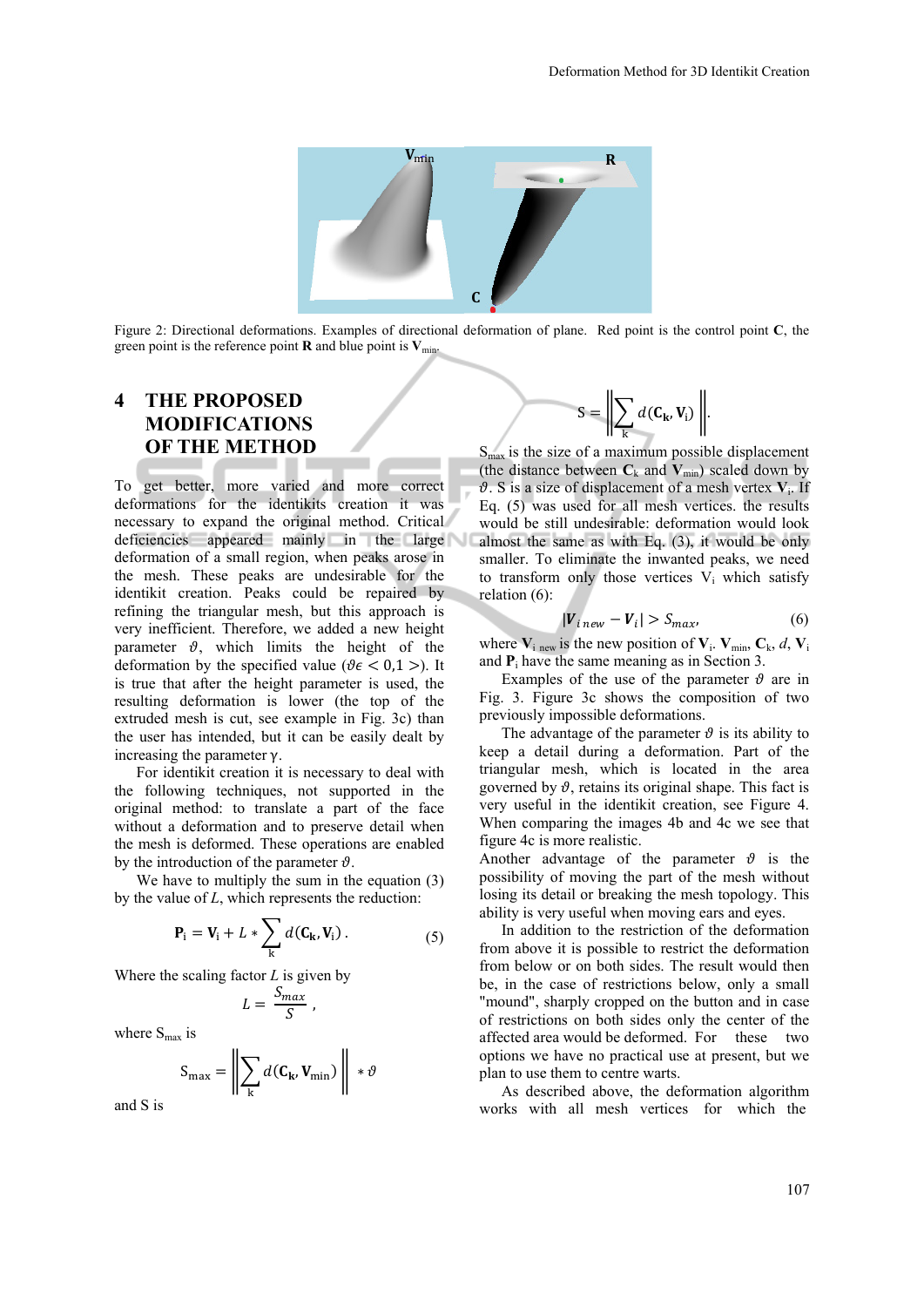

Figure 2: Directional deformations. Examples of directional deformation of plane. Red point is the control point **C**, the green point is the reference point **R** and blue point is  $V_{min}$ .

## **4 THE PROPOSED MODIFICATIONS OF THE METHOD**

To get better, more varied and more correct deformations for the identikits creation it was necessary to expand the original method. Critical deficiencies appeared mainly in the large deformation of a small region, when peaks arose in the mesh. These peaks are undesirable for the identikit creation. Peaks could be repaired by refining the triangular mesh, but this approach is very inefficient. Therefore, we added a new height parameter  $\vartheta$ , which limits the height of the deformation by the specified value ( $\theta \epsilon < 0.1$ ). It is true that after the height parameter is used, the resulting deformation is lower (the top of the extruded mesh is cut, see example in Fig. 3c) than the user has intended, but it can be easily dealt by increasing the parameter  $γ$ .

For identikit creation it is necessary to deal with the following techniques, not supported in the original method: to translate a part of the face without a deformation and to preserve detail when the mesh is deformed. These operations are enabled by the introduction of the parameter  $\vartheta$ .

We have to multiply the sum in the equation  $(3)$ by the value of *L*, which represents the reduction:

$$
\mathbf{P}_{i} = \mathbf{V}_{i} + L * \sum_{k} d(\mathbf{C}_{k}, \mathbf{V}_{i}).
$$
 (5)

Where the scaling factor *L* is given by

$$
L = \frac{S_{max}}{S} \; ,
$$

where  $S_{\text{max}}$  is

and S is

$$
S_{\max} = \left\| \sum_{k} d(C_{k}, V_{\min}) \right\| * \vartheta
$$

$$
S = \left\| \sum_{\mathbf{k}} d(\mathbf{C}_{\mathbf{k}}, \mathbf{V}_{\mathbf{i}}) \right\|.
$$

 $S<sub>max</sub>$  is the size of a maximum possible displacement (the distance between  $C_k$  and  $V_{min}$ ) scaled down by  $\vartheta$ . S is a size of displacement of a mesh vertex  $V_i$ . If Eq. (5) was used for all mesh vertices. the results would be still undesirable: deformation would look almost the same as with Eq. (3), it would be only smaller. To eliminate the inwanted peaks, we need to transform only those vertices  $V_i$  which satisfy relation (6):

$$
|V_{i\text{ new}} - V_i| > S_{\text{max}},\tag{6}
$$

where  $V_i$  new is the new position of  $V_i$ .  $V_{min}$ ,  $C_k$ , *d*,  $V_i$ and  $P_i$  have the same meaning as in Section 3.

Examples of the use of the parameter  $\vartheta$  are in Fig. 3. Figure 3c shows the composition of two previously impossible deformations.

The advantage of the parameter  $\vartheta$  is its ability to keep a detail during a deformation. Part of the triangular mesh, which is located in the area governed by  $\vartheta$ , retains its original shape. This fact is very useful in the identikit creation, see Figure 4. When comparing the images 4b and 4c we see that figure 4c is more realistic.

Another advantage of the parameter  $\vartheta$  is the possibility of moving the part of the mesh without losing its detail or breaking the mesh topology. This ability is very useful when moving ears and eyes.

In addition to the restriction of the deformation from above it is possible to restrict the deformation from below or on both sides. The result would then be, in the case of restrictions below, only a small "mound", sharply cropped on the button and in case of restrictions on both sides only the center of the affected area would be deformed. For these two options we have no practical use at present, but we plan to use them to centre warts.

As described above, the deformation algorithm works with all mesh vertices for which the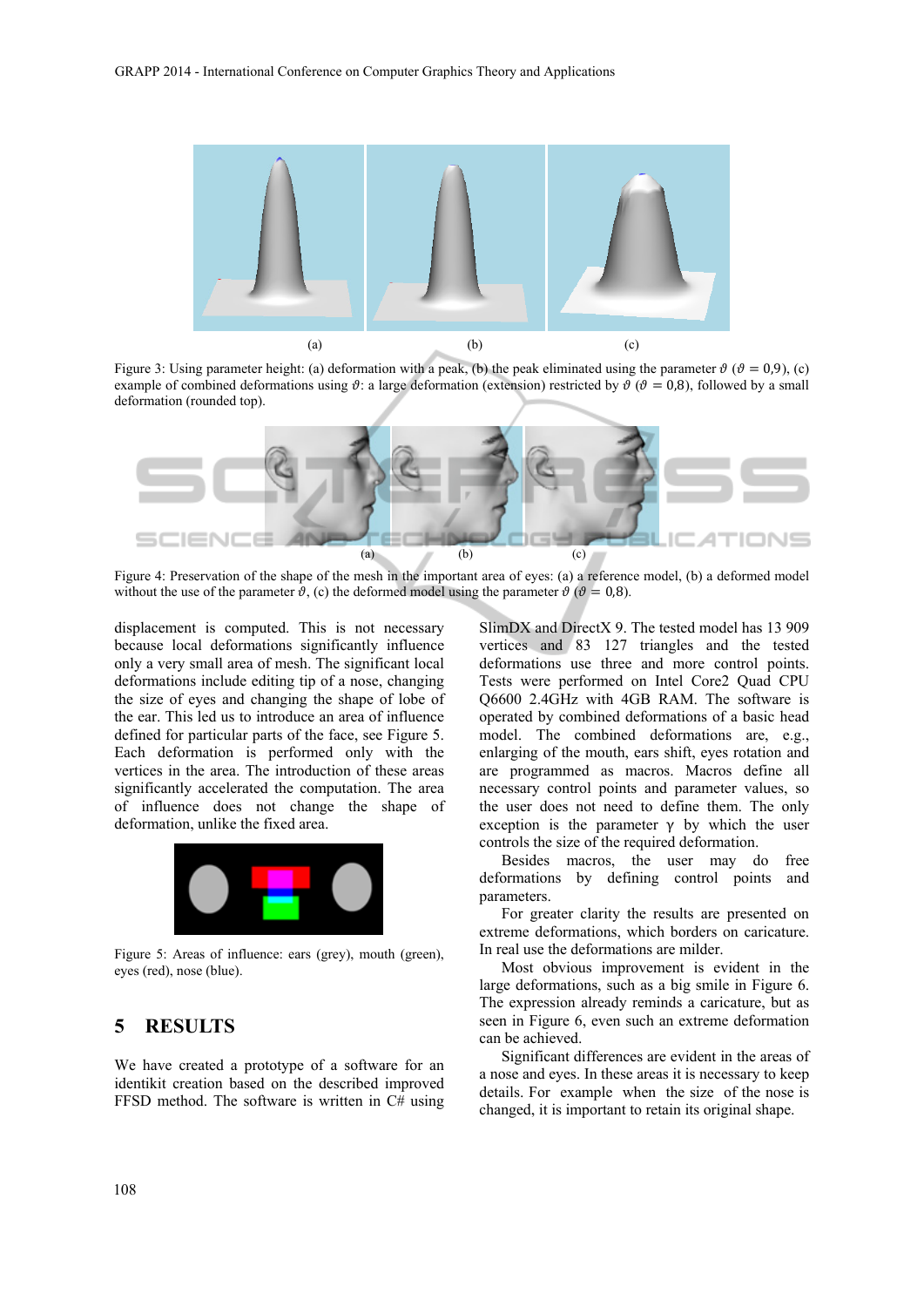

Figure 3: Using parameter height: (a) deformation with a peak, (b) the peak eliminated using the parameter  $\vartheta$  ( $\vartheta$  = 0,9), (c) example of combined deformations using  $\vartheta$ : a large deformation (extension) restricted by  $\vartheta$  ( $\vartheta$  = 0,8), followed by a small deformation (rounded top).



Figure 4: Preservation of the shape of the mesh in the important area of eyes: (a) a reference model, (b) a deformed model without the use of the parameter  $\vartheta$ , (c) the deformed model using the parameter  $\vartheta$  ( $\vartheta = 0.8$ ).

displacement is computed. This is not necessary because local deformations significantly influence only a very small area of mesh. The significant local deformations include editing tip of a nose, changing the size of eyes and changing the shape of lobe of the ear. This led us to introduce an area of influence defined for particular parts of the face, see Figure 5. Each deformation is performed only with the vertices in the area. The introduction of these areas significantly accelerated the computation. The area of influence does not change the shape of deformation, unlike the fixed area.



Figure 5: Areas of influence: ears (grey), mouth (green), eyes (red), nose (blue).

### **5 RESULTS**

We have created a prototype of a software for an identikit creation based on the described improved FFSD method. The software is written in C# using

SlimDX and DirectX 9. The tested model has 13 909 vertices and 83 127 triangles and the tested deformations use three and more control points. Tests were performed on Intel Core2 Quad CPU Q6600 2.4GHz with 4GB RAM. The software is operated by combined deformations of a basic head model. The combined deformations are, e.g., enlarging of the mouth, ears shift, eyes rotation and are programmed as macros. Macros define all necessary control points and parameter values, so the user does not need to define them. The only exception is the parameter  $\gamma$  by which the user controls the size of the required deformation.

Besides macros, the user may do free deformations by defining control points and parameters.

For greater clarity the results are presented on extreme deformations, which borders on caricature. In real use the deformations are milder.

Most obvious improvement is evident in the large deformations, such as a big smile in Figure 6. The expression already reminds a caricature, but as seen in Figure 6, even such an extreme deformation can be achieved.

Significant differences are evident in the areas of a nose and eyes. In these areas it is necessary to keep details. For example when the size of the nose is changed, it is important to retain its original shape.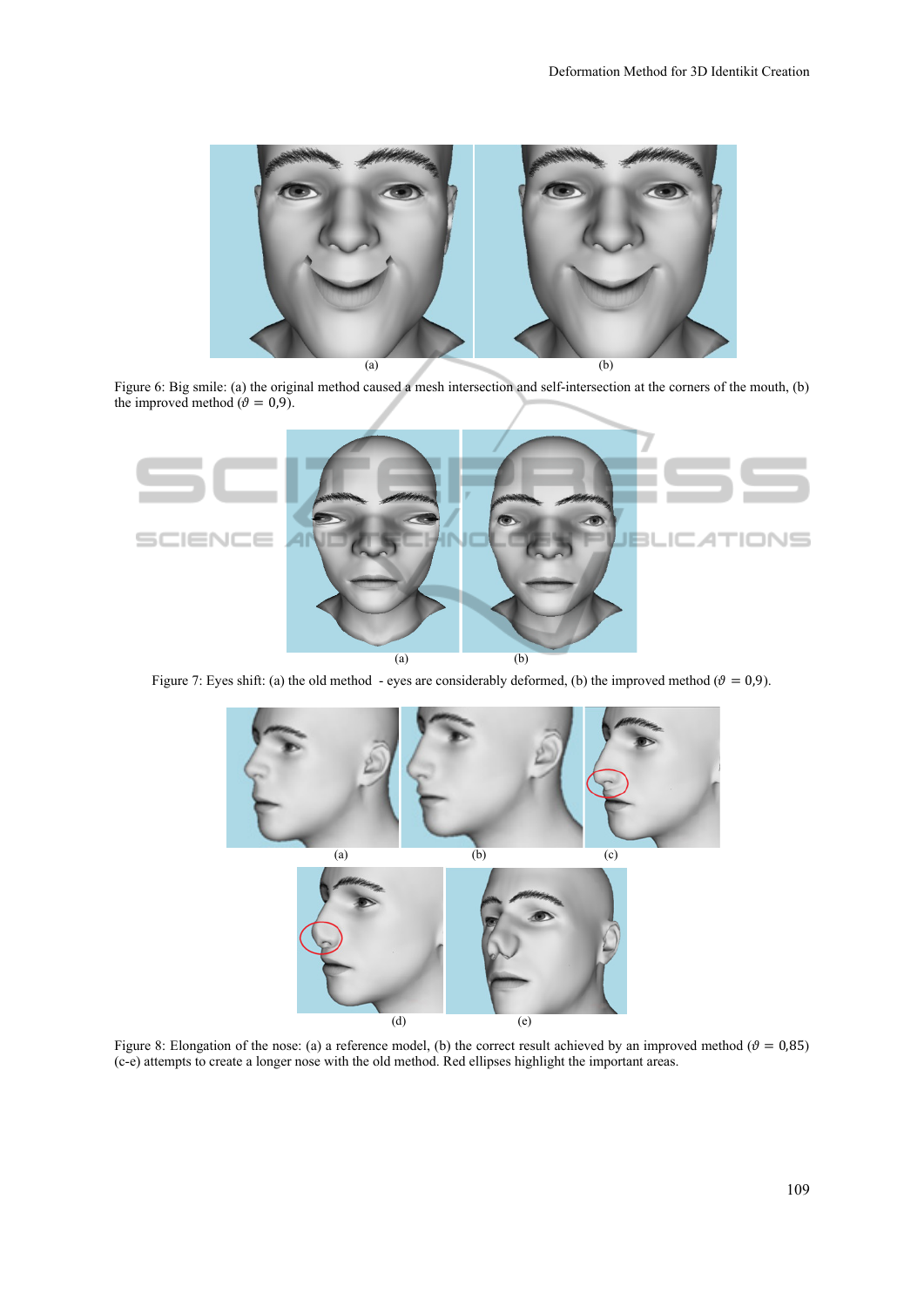

Figure 6: Big smile: (a) the original method caused a mesh intersection and self-intersection at the corners of the mouth, (b) the improved method ( $\theta = 0.9$ ).



Figure 7: Eyes shift: (a) the old method - eyes are considerably deformed, (b) the improved method ( $\theta = 0.9$ ).



Figure 8: Elongation of the nose: (a) a reference model, (b) the correct result achieved by an improved method ( $\theta = 0.85$ ) (c-e) attempts to create a longer nose with the old method. Red ellipses highlight the important areas.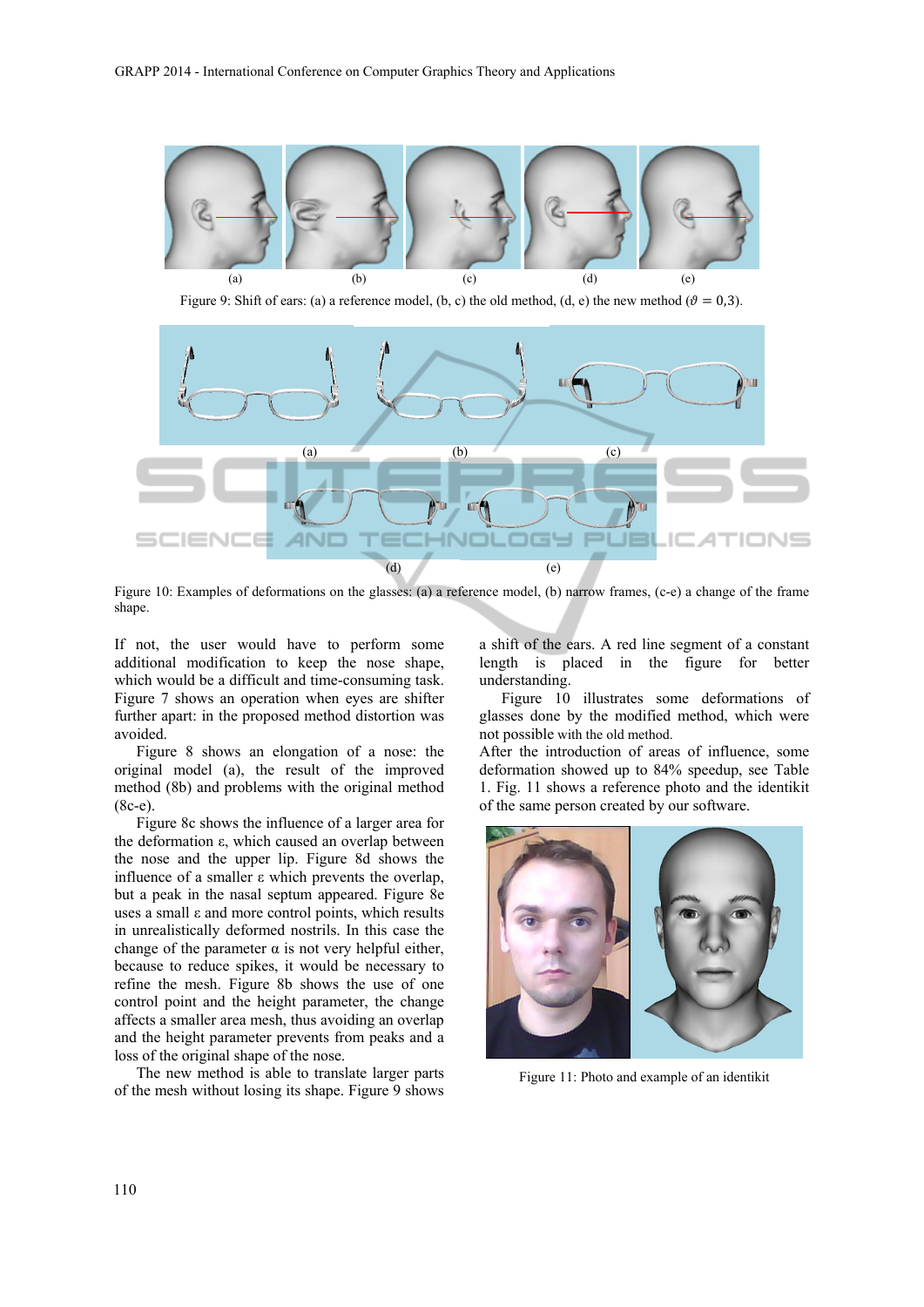

Figure 9: Shift of ears: (a) a reference model, (b, c) the old method, (d, e) the new method ( $\theta = 0.3$ ).



Figure 10: Examples of deformations on the glasses: (a) a reference model, (b) narrow frames, (c-e) a change of the frame shape.

If not, the user would have to perform some additional modification to keep the nose shape, which would be a difficult and time-consuming task. Figure 7 shows an operation when eyes are shifter further apart: in the proposed method distortion was avoided.

Figure 8 shows an elongation of a nose: the original model (a), the result of the improved method (8b) and problems with the original method (8c-e).

Figure 8c shows the influence of a larger area for the deformation ε, which caused an overlap between the nose and the upper lip. Figure 8d shows the influence of a smaller ε which prevents the overlap, but a peak in the nasal septum appeared. Figure 8e uses a small ε and more control points, which results in unrealistically deformed nostrils. In this case the change of the parameter  $\alpha$  is not very helpful either, because to reduce spikes, it would be necessary to refine the mesh. Figure 8b shows the use of one control point and the height parameter, the change affects a smaller area mesh, thus avoiding an overlap and the height parameter prevents from peaks and a loss of the original shape of the nose.

The new method is able to translate larger parts of the mesh without losing its shape. Figure 9 shows a shift of the ears. A red line segment of a constant length is placed in the figure for better understanding.

Figure 10 illustrates some deformations of glasses done by the modified method, which were not possible with the old method.

After the introduction of areas of influence, some deformation showed up to 84% speedup, see Table 1. Fig. 11 shows a reference photo and the identikit of the same person created by our software.



Figure 11: Photo and example of an identikit